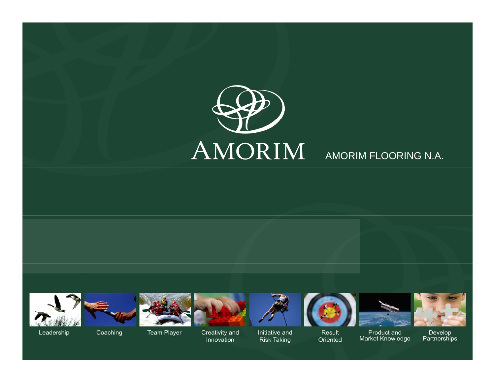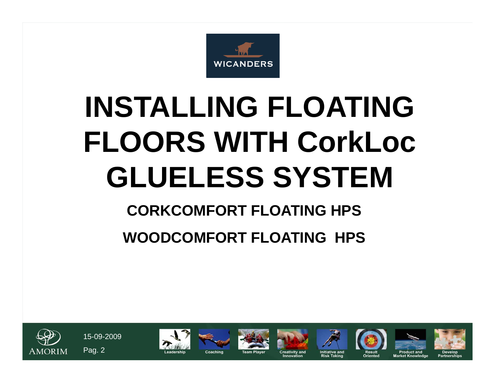

# **INSTALLING FLOATING FLOORS WITH CorkLocGLUELESS SYSTEM**

# **CORKCOMFORT FLOATING HPS**

# **WOODCOMFORT FLOATING HPS**

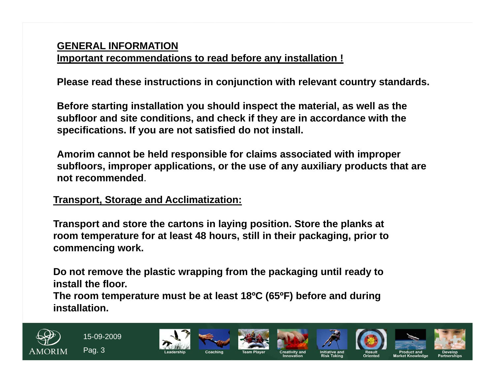#### **GENERAL INFORMATIONImportant recommendations to read before any installation !**

**Please read these instructions in conjunction with relevant country standards.**

**Before starting installation you should inspect the material, as well as the subfloor and site conditions, and check if they are in accordance with the specifications. If you are not satisfied do not install.** 

**Amorim cannot be held responsible for claims associated with improper subfloors, improper applications, or the use of any auxiliary products that are not recommended**.

**Transport, Storage and Acclimatization:**

**Transport and store the cartons in laying position. Store the planks at room temperature for at least 48 hours, still in their packaging, prior to commencing work.**

**Do not remove the plastic wrapping from the packaging until ready to install the floor.** 

**The room temperature must be at least 18ºC (65ºF) before and during installation.**

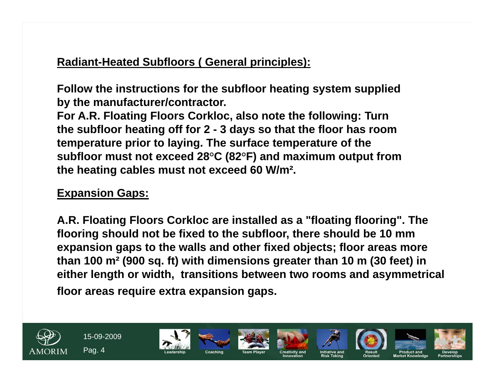# **Radiant-Heated Subfloors ( General principles):**

**Follow the instructions for the subfloor heating system supplied by the manufacturer/contractor.** 

**For A.R. Floating Floors Corkloc, also note the following: Turn the subfloor heating off for 2 - 3 days so that the floor has room temperature prior to laying. The surface temperature of the subfloor must not exceed 28**°**C (82**°**F) and maximum output from the heating cables must not exceed 60 W/m².** 

# **Expansion Gaps:**

**A.R. Floating Floors Corkloc are installed as a "floating flooring". The flooring should not be fixed to the subfloor, there should be 10 mm expansion gaps to the walls and other fixed objects; floor areas more than 100 m² (900 sq. ft) with dimensions greater than 10 m (30 feet) in either length or width, transitions between two rooms and asymmetrical floor areas require extra expansion gaps.**

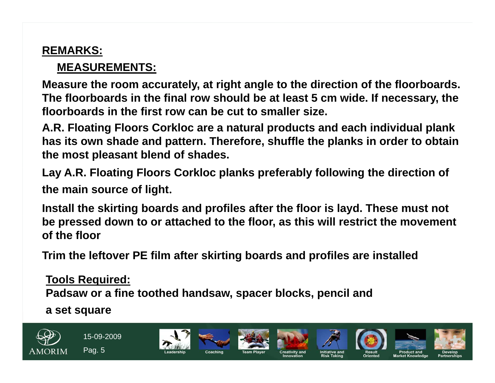# **REMARKS:**

# **MEASUREMENTS:**

**Measure the room accurately, at right angle to the direction of the floorboards. The floorboards in the final row should be at least 5 cm wide. If necessary, the floorboards in the first row can be cut to smaller size.** 

**A.R. Floating Floors Corkloc are a natural products and each individual plank has its own shade and pattern. Therefore, shuffle the planks in order to obtain the most pleasant blend of shades.**

**Lay A.R. Floating Floors Corkloc planks preferably following the direction of the main source of light**.

**Install the skirting boards and profiles after the floor is layd. These must not be pressed down to or attached to the floor, as this will restrict the movement of the floor**

**Trim the leftover PE film after skirting boards and profiles are installed**

**Tools Required:Padsaw or a fine toothed handsaw, spacer blocks, pencil and** 

**a set square**

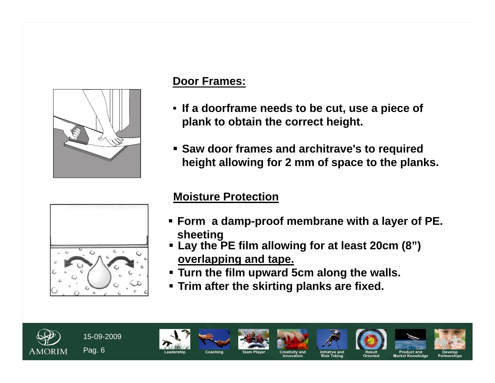

## **Door Frames:**

- **If a doorframe needs to be cut, use a piece of plank to obtain the correct height.**
- **Saw door frames and architrave's to required height allowing for 2 mm of space to the planks.**



# **Moisture Protection**

- **Form a damp-proof membrane with a layer of PE. sheeting**
- **Lay the PE film allowing for at least 20cm (8") overlapping and tape.**
- **Turn the film upward 5cm along the walls.**
- **Trim after the skirting planks are fixed.**

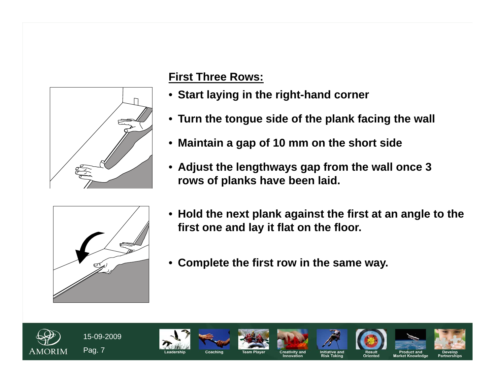

# **First Three Rows:**

- **Start laying in the right-hand corner**
- **Turn the tongue side of the plank facing the wall**
- $\bullet$ **Maintain a gap of 10 mm on the short side**
- **Adjust the lengthways gap from the wall once 3 rows of planks have been laid.**



- **Hold the next plank against the first at an angle to the first one and lay it flat on the floor.**
- $\bullet$ **Complete the first row in the same way.**

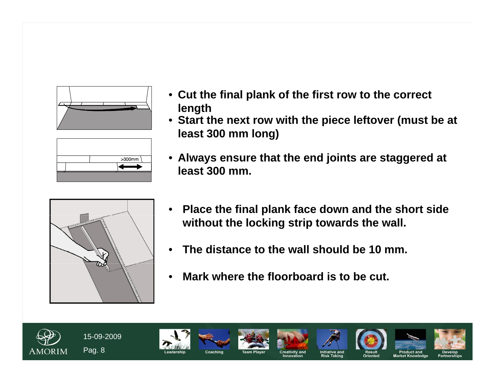



- **Cut the final plank of the first row to the correct length**
- **Start the next row with the piece leftover (must be at least 300 mm long)**
- **Always ensure that the end joints are staggered at least 300 mm.**



- $\bullet$  **Place the final plank face down and the short side without the locking strip towards the wall.**
- •**The distance to the wall should be 10 mm.**
- •**Mark where the floorboard is to be cut.**

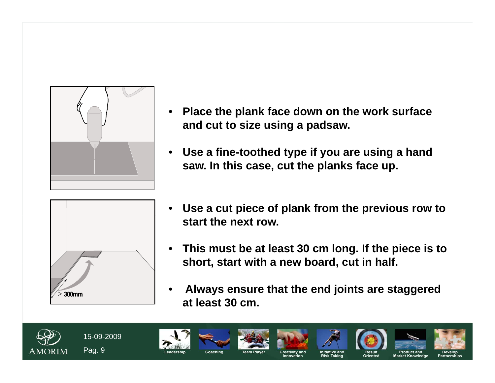

 $>$  300mm

- • **Place the plank face down on the work surface and cut to size using a padsaw.**
- $\bullet$  **Use a fine-toothed type if you are using a hand saw. In this case, cut the planks face up.**
- $\bullet$  **Use a cut piece of plank from the previous row to start the next row.**
- $\bullet$  **This must be at least 30 cm long. If the piece is to short, start with a new board, cut in half.**
- • **Always ensure that the end joints are staggered at least 30 cm.**

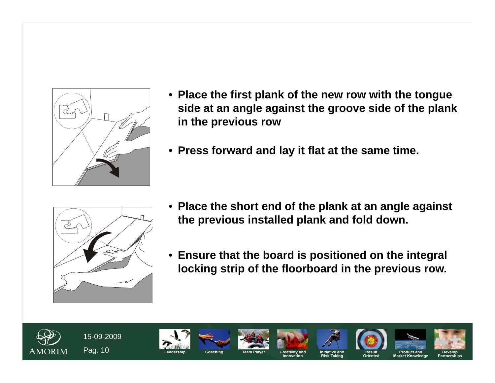

- **Place the first plank of the new row with the tongue side at an angle against the groove side of the plank in the previous row**
- **Press forward and lay it flat at the same time.**



- $\bullet$  **Place the short end of the plank at an angle against the previous installed plank and fold down.**
- **Ensure that the board is positioned on the integral locking strip of the floorboard in the previous row.**

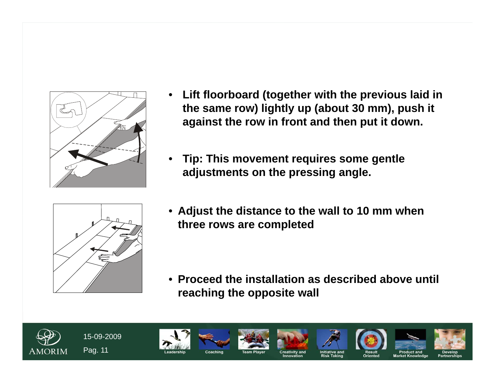

- $\bullet$  **Lift floorboard (together with the previous laid in the same row) lightly up (about 30 mm), push it against the row in front and then put it down.**
- • **Tip: This movement requires some gentle adjustments on the pressing angle.**



• **Adjust the distance to the wall to 10 mm when three rows are completed**

• **Proceed the installation as described above until reaching the opposite wall**

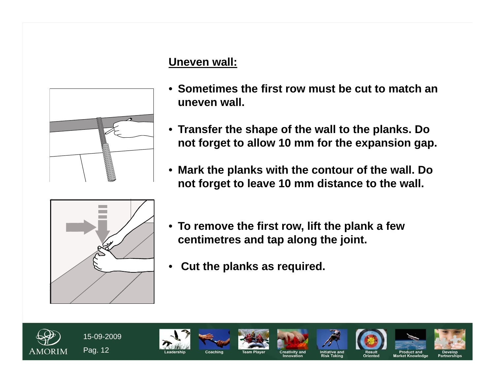# **Uneven wall:**



- **Sometimes the first row must be cut to match an uneven wall.**
- **Transfer the shape of the wall to the planks. Do not forget to allow 10 mm for the expansion gap.**
- $\bullet$  **Mark the planks with the contour of the wall. Do not forget to leave 10 mm distance to the wall.**



- **To remove the first row, lift the plank a few centimetres and tap along the joint.**
- $\bullet$ **Cut the planks as required.**

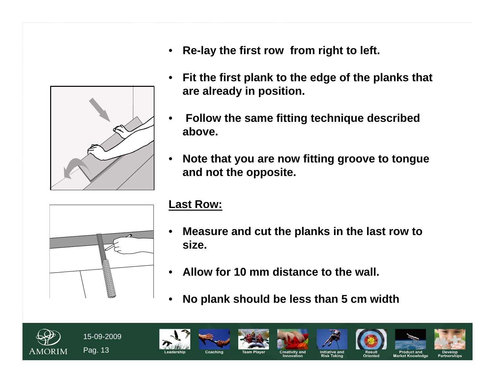

- $\bullet$ **Re-lay the first row from right to left.**
- • **Fit the first plank to the edge of the planks that are already in position.**
- • **Follow the same fitting technique described above.**
- • **Note that you are now fitting groove to tongue and not the opposite.**



#### **Last Row:**

- • **Measure and cut the planks in the last row to size.**
- •**Allow for 10 mm distance to the wall.**
- •**No plank should be less than 5 cm width**

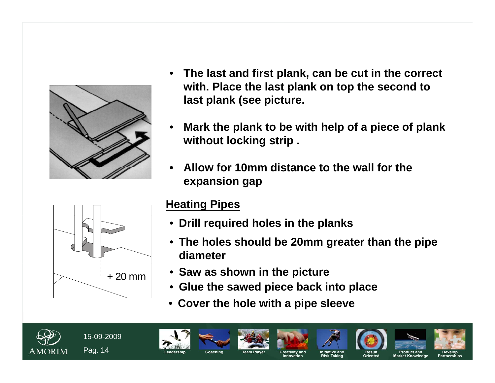

- • **The last and first plank, can be cut in the correct with. Place the last plank on top the second to last plank (see picture.**
- • **Mark the plank to be with help of a piece of plank without locking strip .**
- • **Allow for 10mm distance to the wall for the expansion gap**



# **Heating Pipes**

- **Drill required holes in the planks**
- **The holes should be 20mm greater than the pipe diameter**
- **Saw as shown in the picture**
- **Glue the sawed piece back into place**
- $\bullet$ **Cover the hole with a pipe sleeve**

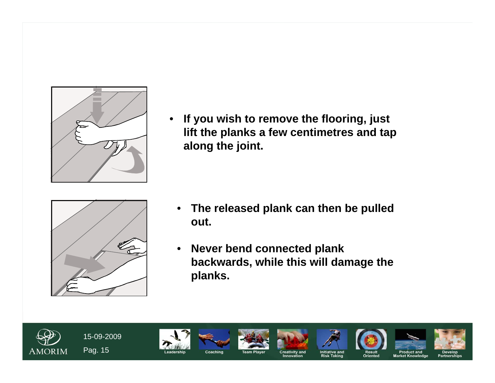

• **If you wish to remove the flooring, just lift the planks a few centimetres and tap along the joint.**



- $\bullet$  **The released plank can then be pulled out.**
- $\bullet$  **Never bend connected plank backwards, while this will damage the planks.**